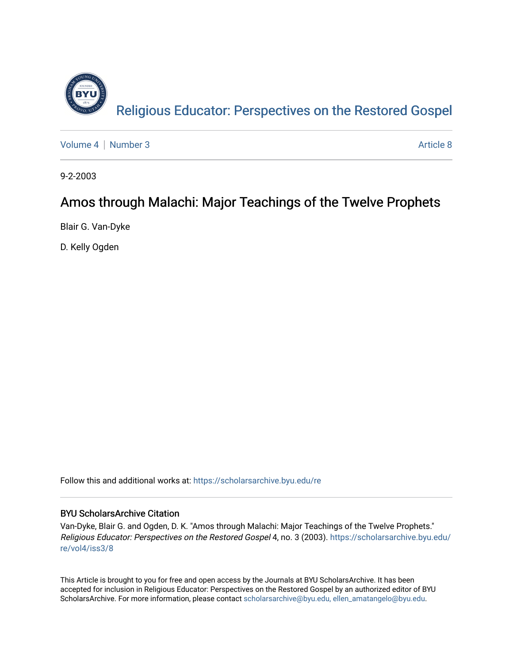

[Volume 4](https://scholarsarchive.byu.edu/re/vol4) | [Number 3](https://scholarsarchive.byu.edu/re/vol4/iss3) Article 8

9-2-2003

# Amos through Malachi: Major Teachings of the Twelve Prophets

Blair G. Van-Dyke

D. Kelly Ogden

Follow this and additional works at: [https://scholarsarchive.byu.edu/re](https://scholarsarchive.byu.edu/re?utm_source=scholarsarchive.byu.edu%2Fre%2Fvol4%2Fiss3%2F8&utm_medium=PDF&utm_campaign=PDFCoverPages)

# BYU ScholarsArchive Citation

Van-Dyke, Blair G. and Ogden, D. K. "Amos through Malachi: Major Teachings of the Twelve Prophets." Religious Educator: Perspectives on the Restored Gospel 4, no. 3 (2003). [https://scholarsarchive.byu.edu/](https://scholarsarchive.byu.edu/re/vol4/iss3/8?utm_source=scholarsarchive.byu.edu%2Fre%2Fvol4%2Fiss3%2F8&utm_medium=PDF&utm_campaign=PDFCoverPages) [re/vol4/iss3/8](https://scholarsarchive.byu.edu/re/vol4/iss3/8?utm_source=scholarsarchive.byu.edu%2Fre%2Fvol4%2Fiss3%2F8&utm_medium=PDF&utm_campaign=PDFCoverPages)

This Article is brought to you for free and open access by the Journals at BYU ScholarsArchive. It has been accepted for inclusion in Religious Educator: Perspectives on the Restored Gospel by an authorized editor of BYU ScholarsArchive. For more information, please contact [scholarsarchive@byu.edu, ellen\\_amatangelo@byu.edu.](mailto:scholarsarchive@byu.edu,%20ellen_amatangelo@byu.edu)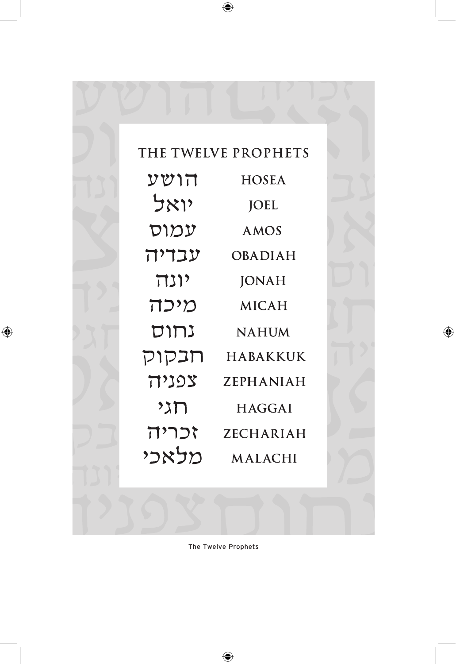

The Twelve Prophets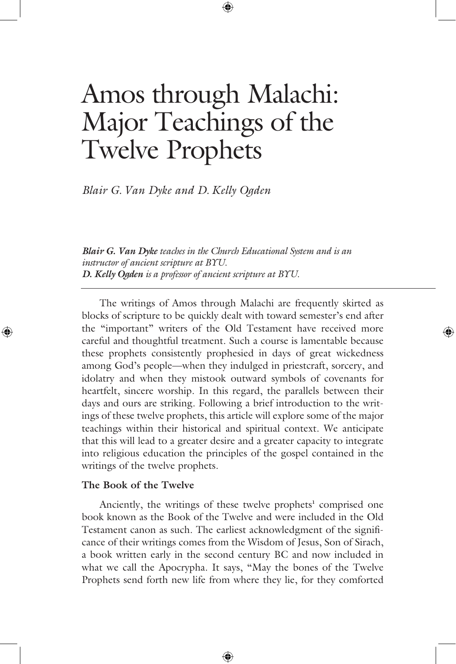# Amos through Malachi: Major Teachings of the Twelve Prophets

*Blair G. Van Dyke and D. Kelly Ogden* 

*Blair G. Van Dyke teaches in the Church Educational System and is an instructor of ancient scripture at BYU. D. Kelly Ogden is a professor of ancient scripture at BYU.*

 The writings of Amos through Malachi are frequently skirted as blocks of scripture to be quickly dealt with toward semester's end after the "important" writers of the Old Testament have received more careful and thoughtful treatment. Such a course is lamentable because these prophets consistently prophesied in days of great wickedness among God's people—when they indulged in priestcraft, sorcery, and idolatry and when they mistook outward symbols of covenants for heartfelt, sincere worship. In this regard, the parallels between their days and ours are striking. Following a brief introduction to the writings of these twelve prophets, this article will explore some of the major teachings within their historical and spiritual context. We anticipate that this will lead to a greater desire and a greater capacity to integrate into religious education the principles of the gospel contained in the writings of the twelve prophets.

#### **The Book of the Twelve**

Anciently, the writings of these twelve prophets<sup>1</sup> comprised one book known as the Book of the Twelve and were included in the Old Testament canon as such. The earliest acknowledgment of the significance of their writings comes from the Wisdom of Jesus, Son of Sirach, a book written early in the second century BC and now included in what we call the Apocrypha. It says, "May the bones of the Twelve Prophets send forth new life from where they lie, for they comforted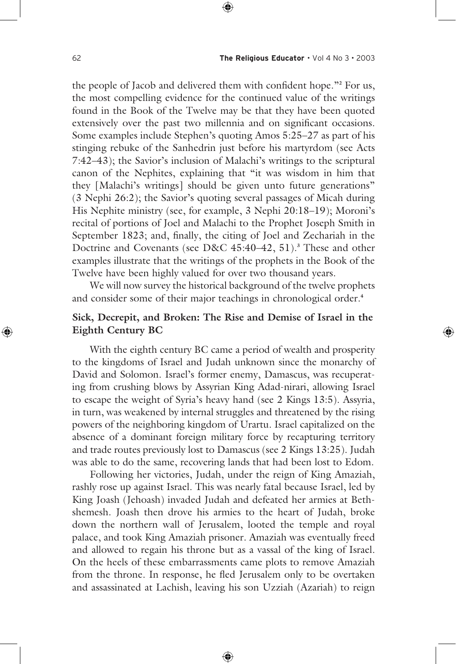the people of Jacob and delivered them with confident hope."**<sup>2</sup>** For us, the most compelling evidence for the continued value of the writings found in the Book of the Twelve may be that they have been quoted extensively over the past two millennia and on significant occasions. Some examples include Stephen's quoting Amos 5:25–27 as part of his stinging rebuke of the Sanhedrin just before his martyrdom (see Acts 7:42–43); the Savior's inclusion of Malachi's writings to the scriptural canon of the Nephites, explaining that "it was wisdom in him that they [Malachi's writings] should be given unto future generations" (3 Nephi 26:2); the Savior's quoting several passages of Micah during His Nephite ministry (see, for example, 3 Nephi 20:18–19); Moroni's recital of portions of Joel and Malachi to the Prophet Joseph Smith in September 1823; and, finally, the citing of Joel and Zechariah in the Doctrine and Covenants (see D&C 45:40–42, 51).**<sup>3</sup>** These and other examples illustrate that the writings of the prophets in the Book of the Twelve have been highly valued for over two thousand years.

 We will now survey the historical background of the twelve prophets and consider some of their major teachings in chronological order.**<sup>4</sup>**

# **Sick, Decrepit, and Broken: The Rise and Demise of Israel in the Eighth Century BC**

 With the eighth century BC came a period of wealth and prosperity to the kingdoms of Israel and Judah unknown since the monarchy of David and Solomon. Israel's former enemy, Damascus, was recuperating from crushing blows by Assyrian King Adad-nirari, allowing Israel to escape the weight of Syria's heavy hand (see 2 Kings 13:5). Assyria, in turn, was weakened by internal struggles and threatened by the rising powers of the neighboring kingdom of Urartu. Israel capitalized on the absence of a dominant foreign military force by recapturing territory and trade routes previously lost to Damascus (see 2 Kings 13:25). Judah was able to do the same, recovering lands that had been lost to Edom.

 Following her victories, Judah, under the reign of King Amaziah, rashly rose up against Israel. This was nearly fatal because Israel, led by King Joash (Jehoash) invaded Judah and defeated her armies at Bethshemesh. Joash then drove his armies to the heart of Judah, broke down the northern wall of Jerusalem, looted the temple and royal palace, and took King Amaziah prisoner. Amaziah was eventually freed and allowed to regain his throne but as a vassal of the king of Israel. On the heels of these embarrassments came plots to remove Amaziah from the throne. In response, he fled Jerusalem only to be overtaken and assassinated at Lachish, leaving his son Uzziah (Azariah) to reign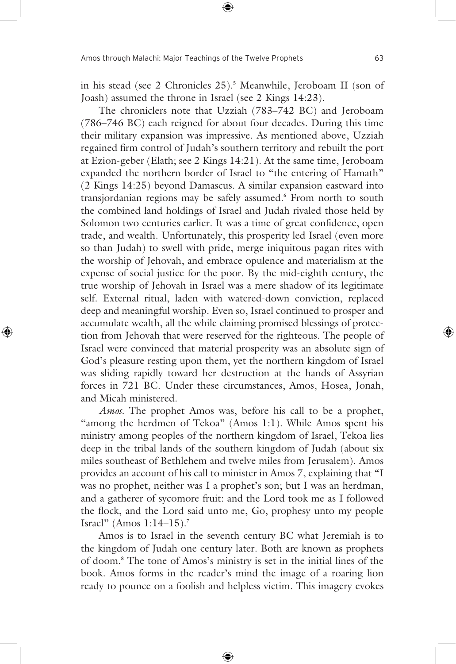in his stead (see 2 Chronicles 25).**<sup>5</sup>** Meanwhile, Jeroboam II (son of Joash) assumed the throne in Israel (see 2 Kings 14:23).

 The chroniclers note that Uzziah (783–742 BC) and Jeroboam (786–746 BC) each reigned for about four decades. During this time their military expansion was impressive. As mentioned above, Uzziah regained firm control of Judah's southern territory and rebuilt the port at Ezion-geber (Elath; see 2 Kings 14:21). At the same time, Jeroboam expanded the northern border of Israel to "the entering of Hamath" (2 Kings 14:25) beyond Damascus. A similar expansion eastward into transjordanian regions may be safely assumed.**<sup>6</sup>** From north to south the combined land holdings of Israel and Judah rivaled those held by Solomon two centuries earlier. It was a time of great confidence, open trade, and wealth. Unfortunately, this prosperity led Israel (even more so than Judah) to swell with pride, merge iniquitous pagan rites with the worship of Jehovah, and embrace opulence and materialism at the expense of social justice for the poor. By the mid-eighth century, the true worship of Jehovah in Israel was a mere shadow of its legitimate self. External ritual, laden with watered-down conviction, replaced deep and meaningful worship. Even so, Israel continued to prosper and accumulate wealth, all the while claiming promised blessings of protection from Jehovah that were reserved for the righteous. The people of Israel were convinced that material prosperity was an absolute sign of God's pleasure resting upon them, yet the northern kingdom of Israel was sliding rapidly toward her destruction at the hands of Assyrian forces in 721 BC. Under these circumstances, Amos, Hosea, Jonah, and Micah ministered.

*Amos.* The prophet Amos was, before his call to be a prophet, "among the herdmen of Tekoa" (Amos 1:1). While Amos spent his ministry among peoples of the northern kingdom of Israel, Tekoa lies deep in the tribal lands of the southern kingdom of Judah (about six miles southeast of Bethlehem and twelve miles from Jerusalem). Amos provides an account of his call to minister in Amos 7, explaining that "I was no prophet, neither was I a prophet's son; but I was an herdman, and a gatherer of sycomore fruit: and the Lord took me as I followed the flock, and the Lord said unto me, Go, prophesy unto my people Israel" (Amos 1:14–15).**<sup>7</sup>**

 Amos is to Israel in the seventh century BC what Jeremiah is to the kingdom of Judah one century later. Both are known as prophets of doom.**<sup>8</sup>** The tone of Amos's ministry is set in the initial lines of the book. Amos forms in the reader's mind the image of a roaring lion ready to pounce on a foolish and helpless victim. This imagery evokes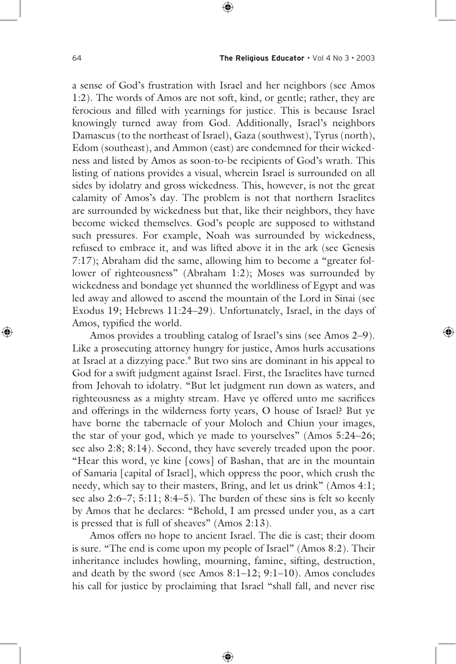a sense of God's frustration with Israel and her neighbors (see Amos 1:2). The words of Amos are not soft, kind, or gentle; rather, they are ferocious and filled with yearnings for justice. This is because Israel knowingly turned away from God. Additionally, Israel's neighbors Damascus (to the northeast of Israel), Gaza (southwest), Tyrus (north), Edom (southeast), and Ammon (east) are condemned for their wickedness and listed by Amos as soon-to-be recipients of God's wrath. This listing of nations provides a visual, wherein Israel is surrounded on all sides by idolatry and gross wickedness. This, however, is not the great calamity of Amos's day. The problem is not that northern Israelites are surrounded by wickedness but that, like their neighbors, they have become wicked themselves. God's people are supposed to withstand such pressures. For example, Noah was surrounded by wickedness, refused to embrace it, and was lifted above it in the ark (see Genesis 7:17); Abraham did the same, allowing him to become a "greater follower of righteousness" (Abraham 1:2); Moses was surrounded by wickedness and bondage yet shunned the worldliness of Egypt and was led away and allowed to ascend the mountain of the Lord in Sinai (see Exodus 19; Hebrews 11:24–29). Unfortunately, Israel, in the days of Amos, typified the world.

 Amos provides a troubling catalog of Israel's sins (see Amos 2–9). Like a prosecuting attorney hungry for justice, Amos hurls accusations at Israel at a dizzying pace.<sup>9</sup> But two sins are dominant in his appeal to God for a swift judgment against Israel. First, the Israelites have turned from Jehovah to idolatry. "But let judgment run down as waters, and righteousness as a mighty stream. Have ye offered unto me sacrifices and offerings in the wilderness forty years, O house of Israel? But ye have borne the tabernacle of your Moloch and Chiun your images, the star of your god, which ye made to yourselves" (Amos 5:24–26; see also 2:8; 8:14). Second, they have severely treaded upon the poor. "Hear this word, ye kine [cows] of Bashan, that are in the mountain of Samaria [capital of Israel], which oppress the poor, which crush the needy, which say to their masters, Bring, and let us drink" (Amos 4:1; see also 2:6–7; 5:11; 8:4–5). The burden of these sins is felt so keenly by Amos that he declares: "Behold, I am pressed under you, as a cart is pressed that is full of sheaves" (Amos 2:13).

 Amos offers no hope to ancient Israel. The die is cast; their doom is sure. "The end is come upon my people of Israel" (Amos 8:2). Their inheritance includes howling, mourning, famine, sifting, destruction, and death by the sword (see Amos 8:1–12; 9:1–10). Amos concludes his call for justice by proclaiming that Israel "shall fall, and never rise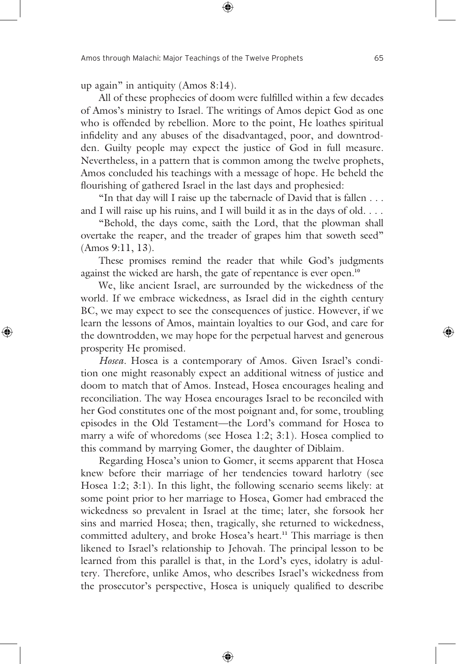up again" in antiquity (Amos 8:14).

 All of these prophecies of doom were fulfilled within a few decades of Amos's ministry to Israel. The writings of Amos depict God as one who is offended by rebellion. More to the point, He loathes spiritual infidelity and any abuses of the disadvantaged, poor, and downtrodden. Guilty people may expect the justice of God in full measure. Nevertheless, in a pattern that is common among the twelve prophets, Amos concluded his teachings with a message of hope. He beheld the flourishing of gathered Israel in the last days and prophesied:

 "In that day will I raise up the tabernacle of David that is fallen . . . and I will raise up his ruins, and I will build it as in the days of old. . . .

 "Behold, the days come, saith the Lord, that the plowman shall overtake the reaper, and the treader of grapes him that soweth seed" (Amos 9:11, 13).

 These promises remind the reader that while God's judgments against the wicked are harsh, the gate of repentance is ever open.**<sup>10</sup>**

 We, like ancient Israel, are surrounded by the wickedness of the world. If we embrace wickedness, as Israel did in the eighth century BC, we may expect to see the consequences of justice. However, if we learn the lessons of Amos, maintain loyalties to our God, and care for the downtrodden, we may hope for the perpetual harvest and generous prosperity He promised.

*Hosea.* Hosea is a contemporary of Amos. Given Israel's condition one might reasonably expect an additional witness of justice and doom to match that of Amos. Instead, Hosea encourages healing and reconciliation. The way Hosea encourages Israel to be reconciled with her God constitutes one of the most poignant and, for some, troubling episodes in the Old Testament—the Lord's command for Hosea to marry a wife of whoredoms (see Hosea 1:2; 3:1). Hosea complied to this command by marrying Gomer, the daughter of Diblaim.

 Regarding Hosea's union to Gomer, it seems apparent that Hosea knew before their marriage of her tendencies toward harlotry (see Hosea 1:2; 3:1). In this light, the following scenario seems likely: at some point prior to her marriage to Hosea, Gomer had embraced the wickedness so prevalent in Israel at the time; later, she forsook her sins and married Hosea; then, tragically, she returned to wickedness, committed adultery, and broke Hosea's heart.**11** This marriage is then likened to Israel's relationship to Jehovah. The principal lesson to be learned from this parallel is that, in the Lord's eyes, idolatry is adultery. Therefore, unlike Amos, who describes Israel's wickedness from the prosecutor's perspective, Hosea is uniquely qualified to describe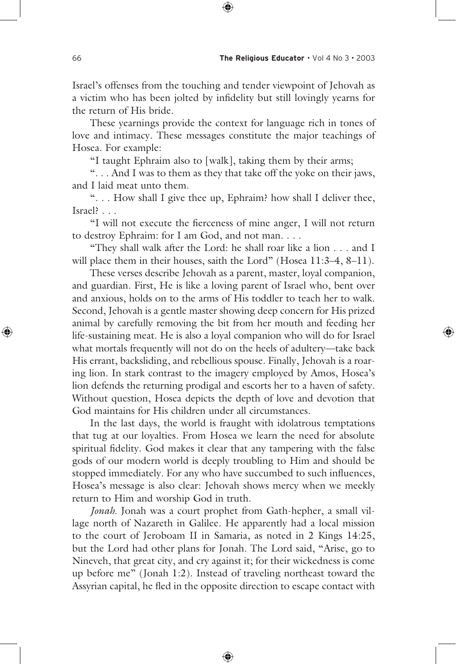Israel's offenses from the touching and tender viewpoint of Jehovah as a victim who has been jolted by infidelity but still lovingly yearns for the return of His bride.

 These yearnings provide the context for language rich in tones of love and intimacy. These messages constitute the major teachings of Hosea. For example:

"I taught Ephraim also to [walk], taking them by their arms;

 ". . . And I was to them as they that take off the yoke on their jaws, and I laid meat unto them.

 ". . . How shall I give thee up, Ephraim? how shall I deliver thee, Israel? . . .

 "I will not execute the fierceness of mine anger, I will not return to destroy Ephraim: for I am God, and not man. . . .

 "They shall walk after the Lord: he shall roar like a lion . . . and I will place them in their houses, saith the Lord" (Hosea 11:3-4, 8-11).

 These verses describe Jehovah as a parent, master, loyal companion, and guardian. First, He is like a loving parent of Israel who, bent over and anxious, holds on to the arms of His toddler to teach her to walk. Second, Jehovah is a gentle master showing deep concern for His prized animal by carefully removing the bit from her mouth and feeding her life-sustaining meat. He is also a loyal companion who will do for Israel what mortals frequently will not do on the heels of adultery—take back His errant, backsliding, and rebellious spouse. Finally, Jehovah is a roaring lion. In stark contrast to the imagery employed by Amos, Hosea's lion defends the returning prodigal and escorts her to a haven of safety. Without question, Hosea depicts the depth of love and devotion that God maintains for His children under all circumstances.

 In the last days, the world is fraught with idolatrous temptations that tug at our loyalties. From Hosea we learn the need for absolute spiritual fidelity. God makes it clear that any tampering with the false gods of our modern world is deeply troubling to Him and should be stopped immediately. For any who have succumbed to such influences, Hosea's message is also clear: Jehovah shows mercy when we meekly return to Him and worship God in truth.

*Jonah.* Jonah was a court prophet from Gath-hepher, a small village north of Nazareth in Galilee. He apparently had a local mission to the court of Jeroboam II in Samaria, as noted in 2 Kings 14:25, but the Lord had other plans for Jonah. The Lord said, "Arise, go to Nineveh, that great city, and cry against it; for their wickedness is come up before me" (Jonah 1:2). Instead of traveling northeast toward the Assyrian capital, he fled in the opposite direction to escape contact with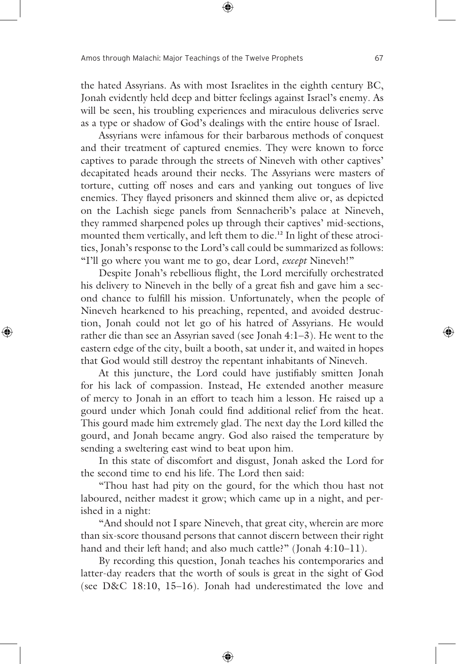the hated Assyrians. As with most Israelites in the eighth century BC, Jonah evidently held deep and bitter feelings against Israel's enemy. As will be seen, his troubling experiences and miraculous deliveries serve as a type or shadow of God's dealings with the entire house of Israel.

 Assyrians were infamous for their barbarous methods of conquest and their treatment of captured enemies. They were known to force captives to parade through the streets of Nineveh with other captives' decapitated heads around their necks. The Assyrians were masters of torture, cutting off noses and ears and yanking out tongues of live enemies. They flayed prisoners and skinned them alive or, as depicted on the Lachish siege panels from Sennacherib's palace at Nineveh, they rammed sharpened poles up through their captives' mid-sections, mounted them vertically, and left them to die.**12** In light of these atrocities, Jonah's response to the Lord's call could be summarized as follows: "I'll go where you want me to go, dear Lord, *except* Nineveh!"

 Despite Jonah's rebellious flight, the Lord mercifully orchestrated his delivery to Nineveh in the belly of a great fish and gave him a second chance to fulfill his mission. Unfortunately, when the people of Nineveh hearkened to his preaching, repented, and avoided destruction, Jonah could not let go of his hatred of Assyrians. He would rather die than see an Assyrian saved (see Jonah 4:1–3). He went to the eastern edge of the city, built a booth, sat under it, and waited in hopes that God would still destroy the repentant inhabitants of Nineveh.

 At this juncture, the Lord could have justifiably smitten Jonah for his lack of compassion. Instead, He extended another measure of mercy to Jonah in an effort to teach him a lesson. He raised up a gourd under which Jonah could find additional relief from the heat. This gourd made him extremely glad. The next day the Lord killed the gourd, and Jonah became angry. God also raised the temperature by sending a sweltering east wind to beat upon him.

 In this state of discomfort and disgust, Jonah asked the Lord for the second time to end his life. The Lord then said:

 "Thou hast had pity on the gourd, for the which thou hast not laboured, neither madest it grow; which came up in a night, and perished in a night:

 "And should not I spare Nineveh, that great city, wherein are more than six-score thousand persons that cannot discern between their right hand and their left hand; and also much cattle?" (Jonah 4:10-11).

 By recording this question, Jonah teaches his contemporaries and latter-day readers that the worth of souls is great in the sight of God (see D&C 18:10, 15–16). Jonah had underestimated the love and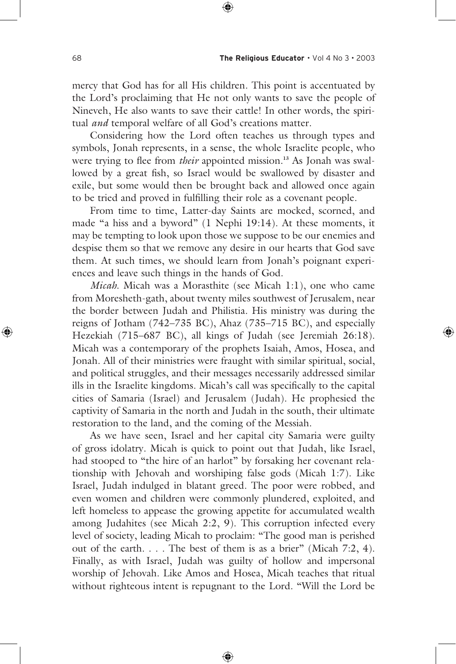mercy that God has for all His children. This point is accentuated by the Lord's proclaiming that He not only wants to save the people of Nineveh, He also wants to save their cattle! In other words, the spiritual *and* temporal welfare of all God's creations matter.

 Considering how the Lord often teaches us through types and symbols, Jonah represents, in a sense, the whole Israelite people, who were trying to flee from *their* appointed mission.**13** As Jonah was swallowed by a great fish, so Israel would be swallowed by disaster and exile, but some would then be brought back and allowed once again to be tried and proved in fulfilling their role as a covenant people.

 From time to time, Latter-day Saints are mocked, scorned, and made "a hiss and a byword" (1 Nephi 19:14). At these moments, it may be tempting to look upon those we suppose to be our enemies and despise them so that we remove any desire in our hearts that God save them. At such times, we should learn from Jonah's poignant experiences and leave such things in the hands of God.

*Micah*. Micah was a Morasthite (see Micah 1:1), one who came from Moresheth-gath, about twenty miles southwest of Jerusalem, near the border between Judah and Philistia. His ministry was during the reigns of Jotham (742–735 BC), Ahaz (735–715 BC), and especially Hezekiah (715–687 BC), all kings of Judah (see Jeremiah 26:18). Micah was a contemporary of the prophets Isaiah, Amos, Hosea, and Jonah. All of their ministries were fraught with similar spiritual, social, and political struggles, and their messages necessarily addressed similar ills in the Israelite kingdoms. Micah's call was specifically to the capital cities of Samaria (Israel) and Jerusalem (Judah). He prophesied the captivity of Samaria in the north and Judah in the south, their ultimate restoration to the land, and the coming of the Messiah.

 As we have seen, Israel and her capital city Samaria were guilty of gross idolatry. Micah is quick to point out that Judah, like Israel, had stooped to "the hire of an harlot" by forsaking her covenant relationship with Jehovah and worshiping false gods (Micah 1:7). Like Israel, Judah indulged in blatant greed. The poor were robbed, and even women and children were commonly plundered, exploited, and left homeless to appease the growing appetite for accumulated wealth among Judahites (see Micah 2:2, 9). This corruption infected every level of society, leading Micah to proclaim: "The good man is perished out of the earth. . . . The best of them is as a brier" (Micah 7:2, 4). Finally, as with Israel, Judah was guilty of hollow and impersonal worship of Jehovah. Like Amos and Hosea, Micah teaches that ritual without righteous intent is repugnant to the Lord. "Will the Lord be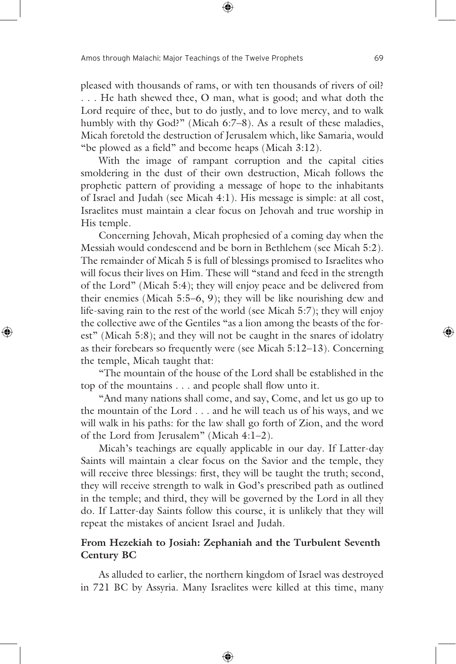pleased with thousands of rams, or with ten thousands of rivers of oil? . . . He hath shewed thee, O man, what is good; and what doth the Lord require of thee, but to do justly, and to love mercy, and to walk humbly with thy God?" (Micah 6:7–8). As a result of these maladies, Micah foretold the destruction of Jerusalem which, like Samaria, would "be plowed as a field" and become heaps (Micah 3:12).

 With the image of rampant corruption and the capital cities smoldering in the dust of their own destruction, Micah follows the prophetic pattern of providing a message of hope to the inhabitants of Israel and Judah (see Micah 4:1). His message is simple: at all cost, Israelites must maintain a clear focus on Jehovah and true worship in His temple.

 Concerning Jehovah, Micah prophesied of a coming day when the Messiah would condescend and be born in Bethlehem (see Micah 5:2). The remainder of Micah 5 is full of blessings promised to Israelites who will focus their lives on Him. These will "stand and feed in the strength of the Lord" (Micah 5:4); they will enjoy peace and be delivered from their enemies (Micah 5:5–6, 9); they will be like nourishing dew and life-saving rain to the rest of the world (see Micah 5:7); they will enjoy the collective awe of the Gentiles "as a lion among the beasts of the forest" (Micah 5:8); and they will not be caught in the snares of idolatry as their forebears so frequently were (see Micah 5:12–13). Concerning the temple, Micah taught that:

 "The mountain of the house of the Lord shall be established in the top of the mountains . . . and people shall flow unto it.

 "And many nations shall come, and say, Come, and let us go up to the mountain of the Lord . . . and he will teach us of his ways, and we will walk in his paths: for the law shall go forth of Zion, and the word of the Lord from Jerusalem" (Micah 4:1–2).

 Micah's teachings are equally applicable in our day. If Latter-day Saints will maintain a clear focus on the Savior and the temple, they will receive three blessings: first, they will be taught the truth; second, they will receive strength to walk in God's prescribed path as outlined in the temple; and third, they will be governed by the Lord in all they do. If Latter-day Saints follow this course, it is unlikely that they will repeat the mistakes of ancient Israel and Judah.

# **From Hezekiah to Josiah: Zephaniah and the Turbulent Seventh Century BC**

 As alluded to earlier, the northern kingdom of Israel was destroyed in 721 BC by Assyria. Many Israelites were killed at this time, many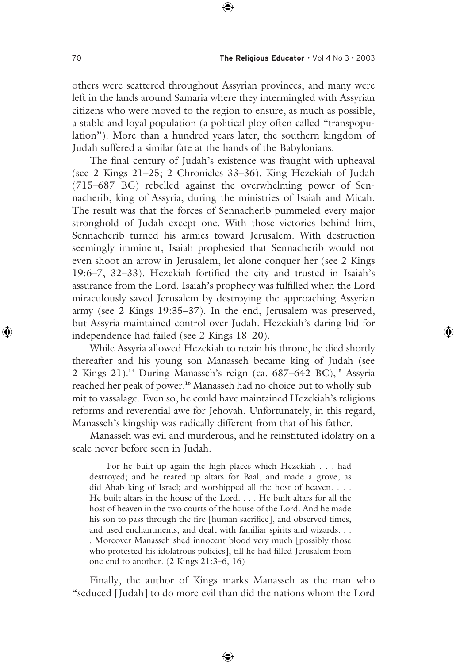others were scattered throughout Assyrian provinces, and many were left in the lands around Samaria where they intermingled with Assyrian citizens who were moved to the region to ensure, as much as possible, a stable and loyal population (a political ploy often called "transpopulation"). More than a hundred years later, the southern kingdom of Judah suffered a similar fate at the hands of the Babylonians.

 The final century of Judah's existence was fraught with upheaval (see 2 Kings 21–25; 2 Chronicles 33–36). King Hezekiah of Judah (715–687 BC) rebelled against the overwhelming power of Sennacherib, king of Assyria, during the ministries of Isaiah and Micah. The result was that the forces of Sennacherib pummeled every major stronghold of Judah except one. With those victories behind him, Sennacherib turned his armies toward Jerusalem. With destruction seemingly imminent, Isaiah prophesied that Sennacherib would not even shoot an arrow in Jerusalem, let alone conquer her (see 2 Kings 19:6–7, 32–33). Hezekiah fortified the city and trusted in Isaiah's assurance from the Lord. Isaiah's prophecy was fulfilled when the Lord miraculously saved Jerusalem by destroying the approaching Assyrian army (see 2 Kings 19:35–37). In the end, Jerusalem was preserved, but Assyria maintained control over Judah. Hezekiah's daring bid for independence had failed (see 2 Kings 18–20).

 While Assyria allowed Hezekiah to retain his throne, he died shortly thereafter and his young son Manasseh became king of Judah (see 2 Kings 21).**14** During Manasseh's reign (ca. 687–642 BC),**15** Assyria reached her peak of power.**16** Manasseh had no choice but to wholly submit to vassalage. Even so, he could have maintained Hezekiah's religious reforms and reverential awe for Jehovah. Unfortunately, in this regard, Manasseh's kingship was radically different from that of his father.

 Manasseh was evil and murderous, and he reinstituted idolatry on a scale never before seen in Judah.

 For he built up again the high places which Hezekiah . . . had destroyed; and he reared up altars for Baal, and made a grove, as did Ahab king of Israel; and worshipped all the host of heaven. . . . He built altars in the house of the Lord. . . . He built altars for all the host of heaven in the two courts of the house of the Lord. And he made his son to pass through the fire [human sacrifice], and observed times, and used enchantments, and dealt with familiar spirits and wizards. . . . Moreover Manasseh shed innocent blood very much [possibly those who protested his idolatrous policies], till he had filled Jerusalem from one end to another. (2 Kings 21:3–6, 16)

 Finally, the author of Kings marks Manasseh as the man who "seduced [Judah] to do more evil than did the nations whom the Lord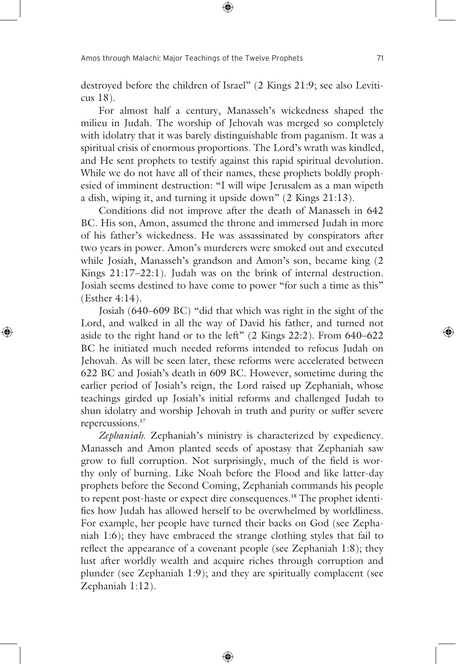destroyed before the children of Israel" (2 Kings 21:9; see also Leviticus 18).

 For almost half a century, Manasseh's wickedness shaped the milieu in Judah. The worship of Jehovah was merged so completely with idolatry that it was barely distinguishable from paganism. It was a spiritual crisis of enormous proportions. The Lord's wrath was kindled, and He sent prophets to testify against this rapid spiritual devolution. While we do not have all of their names, these prophets boldly prophesied of imminent destruction: "I will wipe Jerusalem as a man wipeth a dish, wiping it, and turning it upside down" (2 Kings 21:13).

 Conditions did not improve after the death of Manasseh in 642 BC. His son, Amon, assumed the throne and immersed Judah in more of his father's wickedness. He was assassinated by conspirators after two years in power. Amon's murderers were smoked out and executed while Josiah, Manasseh's grandson and Amon's son, became king (2 Kings 21:17–22:1). Judah was on the brink of internal destruction. Josiah seems destined to have come to power "for such a time as this" (Esther 4:14).

 Josiah (640–609 BC) "did that which was right in the sight of the Lord, and walked in all the way of David his father, and turned not aside to the right hand or to the left" (2 Kings 22:2). From 640–622 BC he initiated much needed reforms intended to refocus Judah on Jehovah. As will be seen later, these reforms were accelerated between 622 BC and Josiah's death in 609 BC. However, sometime during the earlier period of Josiah's reign, the Lord raised up Zephaniah, whose teachings girded up Josiah's initial reforms and challenged Judah to shun idolatry and worship Jehovah in truth and purity or suffer severe repercussions.**<sup>17</sup>**

 *Zephaniah*. Zephaniah's ministry is characterized by expediency. Manasseh and Amon planted seeds of apostasy that Zephaniah saw grow to full corruption. Not surprisingly, much of the field is worthy only of burning. Like Noah before the Flood and like latter-day prophets before the Second Coming, Zephaniah commands his people to repent post-haste or expect dire consequences.**18** The prophet identifies how Judah has allowed herself to be overwhelmed by worldliness. For example, her people have turned their backs on God (see Zephaniah 1:6); they have embraced the strange clothing styles that fail to reflect the appearance of a covenant people (see Zephaniah 1:8); they lust after worldly wealth and acquire riches through corruption and plunder (see Zephaniah 1:9); and they are spiritually complacent (see Zephaniah 1:12).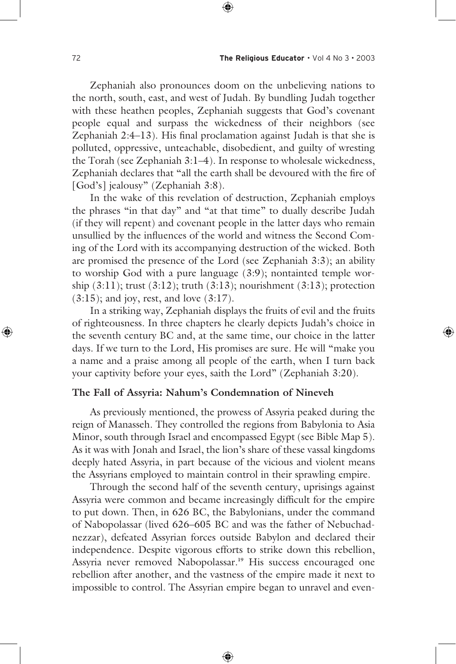Zephaniah also pronounces doom on the unbelieving nations to the north, south, east, and west of Judah. By bundling Judah together with these heathen peoples, Zephaniah suggests that God's covenant people equal and surpass the wickedness of their neighbors (see Zephaniah 2:4–13). His final proclamation against Judah is that she is polluted, oppressive, unteachable, disobedient, and guilty of wresting the Torah (see Zephaniah 3:1–4). In response to wholesale wickedness, Zephaniah declares that "all the earth shall be devoured with the fire of [God's] jealousy" (Zephaniah 3:8).

 In the wake of this revelation of destruction, Zephaniah employs the phrases "in that day" and "at that time" to dually describe Judah (if they will repent) and covenant people in the latter days who remain unsullied by the influences of the world and witness the Second Coming of the Lord with its accompanying destruction of the wicked. Both are promised the presence of the Lord (see Zephaniah 3:3); an ability to worship God with a pure language (3:9); nontainted temple worship (3:11); trust (3:12); truth (3:13); nourishment (3:13); protection  $(3:15)$ ; and joy, rest, and love  $(3:17)$ .

 In a striking way, Zephaniah displays the fruits of evil and the fruits of righteousness. In three chapters he clearly depicts Judah's choice in the seventh century BC and, at the same time, our choice in the latter days. If we turn to the Lord, His promises are sure. He will "make you a name and a praise among all people of the earth, when I turn back your captivity before your eyes, saith the Lord" (Zephaniah 3:20).

#### **The Fall of Assyria: Nahum's Condemnation of Nineveh**

 As previously mentioned, the prowess of Assyria peaked during the reign of Manasseh. They controlled the regions from Babylonia to Asia Minor, south through Israel and encompassed Egypt (see Bible Map 5). As it was with Jonah and Israel, the lion's share of these vassal kingdoms deeply hated Assyria, in part because of the vicious and violent means the Assyrians employed to maintain control in their sprawling empire.

 Through the second half of the seventh century, uprisings against Assyria were common and became increasingly difficult for the empire to put down. Then, in 626 BC, the Babylonians, under the command of Nabopolassar (lived 626–605 BC and was the father of Nebuchadnezzar), defeated Assyrian forces outside Babylon and declared their independence. Despite vigorous efforts to strike down this rebellion, Assyria never removed Nabopolassar.**19** His success encouraged one rebellion after another, and the vastness of the empire made it next to impossible to control. The Assyrian empire began to unravel and even-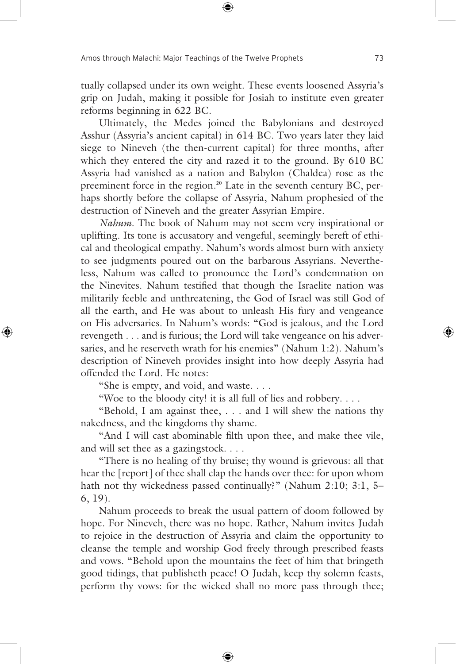tually collapsed under its own weight. These events loosened Assyria's grip on Judah, making it possible for Josiah to institute even greater reforms beginning in 622 BC.

 Ultimately, the Medes joined the Babylonians and destroyed Asshur (Assyria's ancient capital) in 614 BC. Two years later they laid siege to Nineveh (the then-current capital) for three months, after which they entered the city and razed it to the ground. By 610 BC Assyria had vanished as a nation and Babylon (Chaldea) rose as the preeminent force in the region.**20** Late in the seventh century BC, perhaps shortly before the collapse of Assyria, Nahum prophesied of the destruction of Nineveh and the greater Assyrian Empire.

*Nahum*. The book of Nahum may not seem very inspirational or uplifting. Its tone is accusatory and vengeful, seemingly bereft of ethical and theological empathy. Nahum's words almost burn with anxiety to see judgments poured out on the barbarous Assyrians. Nevertheless, Nahum was called to pronounce the Lord's condemnation on the Ninevites. Nahum testified that though the Israelite nation was militarily feeble and unthreatening, the God of Israel was still God of all the earth, and He was about to unleash His fury and vengeance on His adversaries. In Nahum's words: "God is jealous, and the Lord revengeth . . . and is furious; the Lord will take vengeance on his adversaries, and he reserveth wrath for his enemies" (Nahum 1:2). Nahum's description of Nineveh provides insight into how deeply Assyria had offended the Lord. He notes:

"She is empty, and void, and waste. . . .

"Woe to the bloody city! it is all full of lies and robbery....

 "Behold, I am against thee, . . . and I will shew the nations thy nakedness, and the kingdoms thy shame.

 "And I will cast abominable filth upon thee, and make thee vile, and will set thee as a gazingstock. . . .

 "There is no healing of thy bruise; thy wound is grievous: all that hear the [report] of thee shall clap the hands over thee: for upon whom hath not thy wickedness passed continually?" (Nahum 2:10; 3:1, 5– 6, 19).

 Nahum proceeds to break the usual pattern of doom followed by hope. For Nineveh, there was no hope. Rather, Nahum invites Judah to rejoice in the destruction of Assyria and claim the opportunity to cleanse the temple and worship God freely through prescribed feasts and vows. "Behold upon the mountains the feet of him that bringeth good tidings, that publisheth peace! O Judah, keep thy solemn feasts, perform thy vows: for the wicked shall no more pass through thee;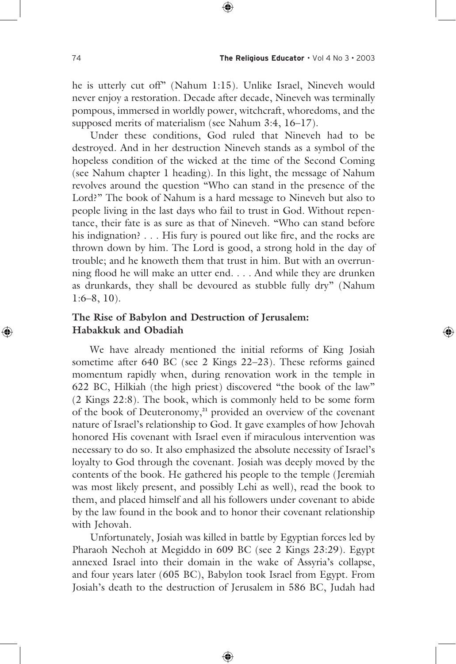he is utterly cut off" (Nahum 1:15). Unlike Israel, Nineveh would never enjoy a restoration. Decade after decade, Nineveh was terminally pompous, immersed in worldly power, witchcraft, whoredoms, and the supposed merits of materialism (see Nahum 3:4, 16–17).

 Under these conditions, God ruled that Nineveh had to be destroyed. And in her destruction Nineveh stands as a symbol of the hopeless condition of the wicked at the time of the Second Coming (see Nahum chapter 1 heading). In this light, the message of Nahum revolves around the question "Who can stand in the presence of the Lord?" The book of Nahum is a hard message to Nineveh but also to people living in the last days who fail to trust in God. Without repentance, their fate is as sure as that of Nineveh. "Who can stand before his indignation? . . . His fury is poured out like fire, and the rocks are thrown down by him. The Lord is good, a strong hold in the day of trouble; and he knoweth them that trust in him. But with an overrunning flood he will make an utter end. . . . And while they are drunken as drunkards, they shall be devoured as stubble fully dry" (Nahum  $1:6-8$ , 10).

# **The Rise of Babylon and Destruction of Jerusalem: Habakkuk and Obadiah**

 We have already mentioned the initial reforms of King Josiah sometime after 640 BC (see 2 Kings 22–23). These reforms gained momentum rapidly when, during renovation work in the temple in 622 BC, Hilkiah (the high priest) discovered "the book of the law" (2 Kings 22:8). The book, which is commonly held to be some form of the book of Deuteronomy,**21** provided an overview of the covenant nature of Israel's relationship to God. It gave examples of how Jehovah honored His covenant with Israel even if miraculous intervention was necessary to do so. It also emphasized the absolute necessity of Israel's loyalty to God through the covenant. Josiah was deeply moved by the contents of the book. He gathered his people to the temple (Jeremiah was most likely present, and possibly Lehi as well), read the book to them, and placed himself and all his followers under covenant to abide by the law found in the book and to honor their covenant relationship with Jehovah.

 Unfortunately, Josiah was killed in battle by Egyptian forces led by Pharaoh Nechoh at Megiddo in 609 BC (see 2 Kings 23:29). Egypt annexed Israel into their domain in the wake of Assyria's collapse, and four years later (605 BC), Babylon took Israel from Egypt. From Josiah's death to the destruction of Jerusalem in 586 BC, Judah had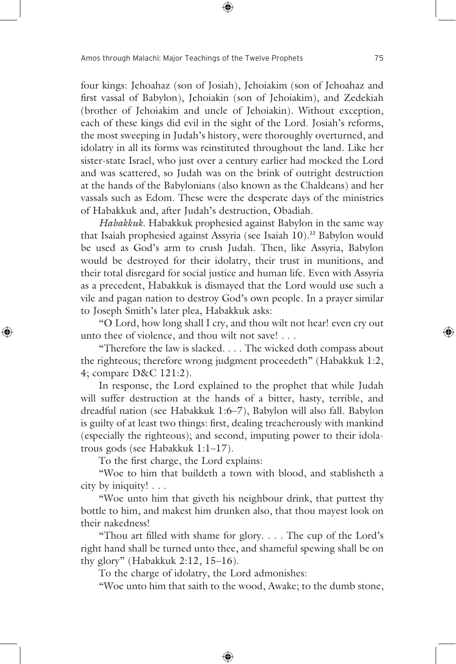four kings: Jehoahaz (son of Josiah), Jehoiakim (son of Jehoahaz and first vassal of Babylon), Jehoiakin (son of Jehoiakim), and Zedekiah (brother of Jehoiakim and uncle of Jehoiakin). Without exception, each of these kings did evil in the sight of the Lord. Josiah's reforms, the most sweeping in Judah's history, were thoroughly overturned, and idolatry in all its forms was reinstituted throughout the land. Like her sister-state Israel, who just over a century earlier had mocked the Lord and was scattered, so Judah was on the brink of outright destruction at the hands of the Babylonians (also known as the Chaldeans) and her vassals such as Edom. These were the desperate days of the ministries of Habakkuk and, after Judah's destruction, Obadiah.

*Habakkuk*. Habakkuk prophesied against Babylon in the same way that Isaiah prophesied against Assyria (see Isaiah 10).**22** Babylon would be used as God's arm to crush Judah. Then, like Assyria, Babylon would be destroyed for their idolatry, their trust in munitions, and their total disregard for social justice and human life. Even with Assyria as a precedent, Habakkuk is dismayed that the Lord would use such a vile and pagan nation to destroy God's own people. In a prayer similar to Joseph Smith's later plea, Habakkuk asks:

 "O Lord, how long shall I cry, and thou wilt not hear! even cry out unto thee of violence, and thou wilt not save! . . .

 "Therefore the law is slacked. . . . The wicked doth compass about the righteous; therefore wrong judgment proceedeth" (Habakkuk 1:2, 4; compare D&C 121:2).

 In response, the Lord explained to the prophet that while Judah will suffer destruction at the hands of a bitter, hasty, terrible, and dreadful nation (see Habakkuk 1:6–7), Babylon will also fall. Babylon is guilty of at least two things: first, dealing treacherously with mankind (especially the righteous); and second, imputing power to their idolatrous gods (see Habakkuk 1:1–17).

To the first charge, the Lord explains:

 "Woe to him that buildeth a town with blood, and stablisheth a city by iniquity! . . .

 "Woe unto him that giveth his neighbour drink, that puttest thy bottle to him, and makest him drunken also, that thou mayest look on their nakedness!

 "Thou art filled with shame for glory. . . . The cup of the Lord's right hand shall be turned unto thee, and shameful spewing shall be on thy glory" (Habakkuk 2:12, 15–16).

To the charge of idolatry, the Lord admonishes:

"Woe unto him that saith to the wood, Awake; to the dumb stone,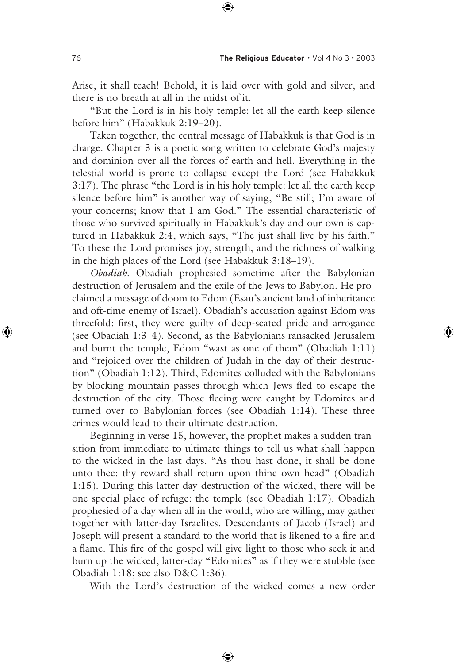Arise, it shall teach! Behold, it is laid over with gold and silver, and there is no breath at all in the midst of it.

 "But the Lord is in his holy temple: let all the earth keep silence before him" (Habakkuk 2:19–20).

 Taken together, the central message of Habakkuk is that God is in charge. Chapter 3 is a poetic song written to celebrate God's majesty and dominion over all the forces of earth and hell. Everything in the telestial world is prone to collapse except the Lord (see Habakkuk 3:17). The phrase "the Lord is in his holy temple: let all the earth keep silence before him" is another way of saying, "Be still; I'm aware of your concerns; know that I am God." The essential characteristic of those who survived spiritually in Habakkuk's day and our own is captured in Habakkuk 2:4, which says, "The just shall live by his faith." To these the Lord promises joy, strength, and the richness of walking in the high places of the Lord (see Habakkuk 3:18–19).

*Obadiah*. Obadiah prophesied sometime after the Babylonian destruction of Jerusalem and the exile of the Jews to Babylon. He proclaimed a message of doom to Edom (Esau's ancient land of inheritance and oft-time enemy of Israel). Obadiah's accusation against Edom was threefold: first, they were guilty of deep-seated pride and arrogance (see Obadiah 1:3–4). Second, as the Babylonians ransacked Jerusalem and burnt the temple, Edom "wast as one of them" (Obadiah 1:11) and "rejoiced over the children of Judah in the day of their destruction" (Obadiah 1:12). Third, Edomites colluded with the Babylonians by blocking mountain passes through which Jews fled to escape the destruction of the city. Those fleeing were caught by Edomites and turned over to Babylonian forces (see Obadiah 1:14). These three crimes would lead to their ultimate destruction.

 Beginning in verse 15, however, the prophet makes a sudden transition from immediate to ultimate things to tell us what shall happen to the wicked in the last days. "As thou hast done, it shall be done unto thee: thy reward shall return upon thine own head" (Obadiah 1:15). During this latter-day destruction of the wicked, there will be one special place of refuge: the temple (see Obadiah 1:17). Obadiah prophesied of a day when all in the world, who are willing, may gather together with latter-day Israelites. Descendants of Jacob (Israel) and Joseph will present a standard to the world that is likened to a fire and a flame. This fire of the gospel will give light to those who seek it and burn up the wicked, latter-day "Edomites" as if they were stubble (see Obadiah 1:18; see also D&C 1:36).

With the Lord's destruction of the wicked comes a new order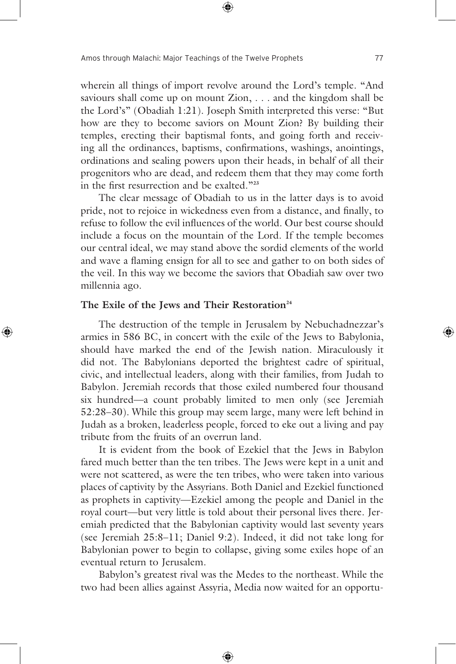wherein all things of import revolve around the Lord's temple. "And saviours shall come up on mount Zion, . . . and the kingdom shall be the Lord's" (Obadiah 1:21). Joseph Smith interpreted this verse: "But how are they to become saviors on Mount Zion? By building their temples, erecting their baptismal fonts, and going forth and receiving all the ordinances, baptisms, confirmations, washings, anointings, ordinations and sealing powers upon their heads, in behalf of all their progenitors who are dead, and redeem them that they may come forth in the first resurrection and be exalted."**<sup>23</sup>**

 The clear message of Obadiah to us in the latter days is to avoid pride, not to rejoice in wickedness even from a distance, and finally, to refuse to follow the evil influences of the world. Our best course should include a focus on the mountain of the Lord. If the temple becomes our central ideal, we may stand above the sordid elements of the world and wave a flaming ensign for all to see and gather to on both sides of the veil. In this way we become the saviors that Obadiah saw over two millennia ago.

#### The Exile of the Jews and Their Restoration<sup>24</sup>

 The destruction of the temple in Jerusalem by Nebuchadnezzar's armies in 586 BC, in concert with the exile of the Jews to Babylonia, should have marked the end of the Jewish nation. Miraculously it did not. The Babylonians deported the brightest cadre of spiritual, civic, and intellectual leaders, along with their families, from Judah to Babylon. Jeremiah records that those exiled numbered four thousand six hundred—a count probably limited to men only (see Jeremiah 52:28–30). While this group may seem large, many were left behind in Judah as a broken, leaderless people, forced to eke out a living and pay tribute from the fruits of an overrun land.

 It is evident from the book of Ezekiel that the Jews in Babylon fared much better than the ten tribes. The Jews were kept in a unit and were not scattered, as were the ten tribes, who were taken into various places of captivity by the Assyrians. Both Daniel and Ezekiel functioned as prophets in captivity—Ezekiel among the people and Daniel in the royal court—but very little is told about their personal lives there. Jeremiah predicted that the Babylonian captivity would last seventy years (see Jeremiah 25:8–11; Daniel 9:2). Indeed, it did not take long for Babylonian power to begin to collapse, giving some exiles hope of an eventual return to Jerusalem.

 Babylon's greatest rival was the Medes to the northeast. While the two had been allies against Assyria, Media now waited for an opportu-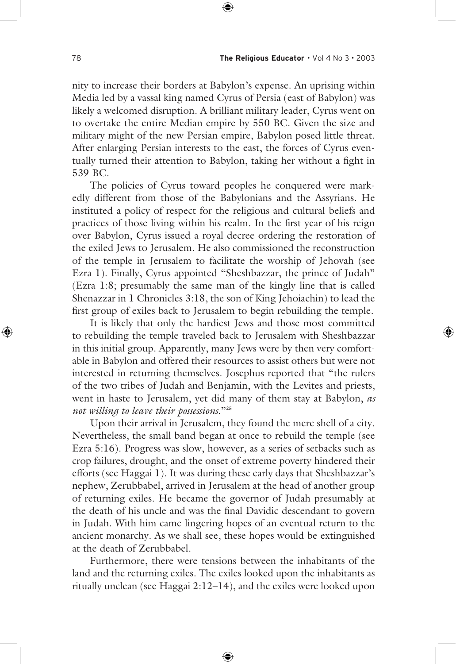nity to increase their borders at Babylon's expense. An uprising within Media led by a vassal king named Cyrus of Persia (east of Babylon) was likely a welcomed disruption. A brilliant military leader, Cyrus went on to overtake the entire Median empire by 550 BC. Given the size and military might of the new Persian empire, Babylon posed little threat. After enlarging Persian interests to the east, the forces of Cyrus eventually turned their attention to Babylon, taking her without a fight in 539 BC.

 The policies of Cyrus toward peoples he conquered were markedly different from those of the Babylonians and the Assyrians. He instituted a policy of respect for the religious and cultural beliefs and practices of those living within his realm. In the first year of his reign over Babylon, Cyrus issued a royal decree ordering the restoration of the exiled Jews to Jerusalem. He also commissioned the reconstruction of the temple in Jerusalem to facilitate the worship of Jehovah (see Ezra 1). Finally, Cyrus appointed "Sheshbazzar, the prince of Judah" (Ezra 1:8; presumably the same man of the kingly line that is called Shenazzar in 1 Chronicles 3:18, the son of King Jehoiachin) to lead the first group of exiles back to Jerusalem to begin rebuilding the temple.

 It is likely that only the hardiest Jews and those most committed to rebuilding the temple traveled back to Jerusalem with Sheshbazzar in this initial group. Apparently, many Jews were by then very comfortable in Babylon and offered their resources to assist others but were not interested in returning themselves. Josephus reported that "the rulers of the two tribes of Judah and Benjamin, with the Levites and priests, went in haste to Jerusalem, yet did many of them stay at Babylon, *as not willing to leave their possessions*."**<sup>25</sup>**

 Upon their arrival in Jerusalem, they found the mere shell of a city. Nevertheless, the small band began at once to rebuild the temple (see Ezra 5:16). Progress was slow, however, as a series of setbacks such as crop failures, drought, and the onset of extreme poverty hindered their efforts (see Haggai 1). It was during these early days that Sheshbazzar's nephew, Zerubbabel, arrived in Jerusalem at the head of another group of returning exiles. He became the governor of Judah presumably at the death of his uncle and was the final Davidic descendant to govern in Judah. With him came lingering hopes of an eventual return to the ancient monarchy. As we shall see, these hopes would be extinguished at the death of Zerubbabel.

 Furthermore, there were tensions between the inhabitants of the land and the returning exiles. The exiles looked upon the inhabitants as ritually unclean (see Haggai 2:12–14), and the exiles were looked upon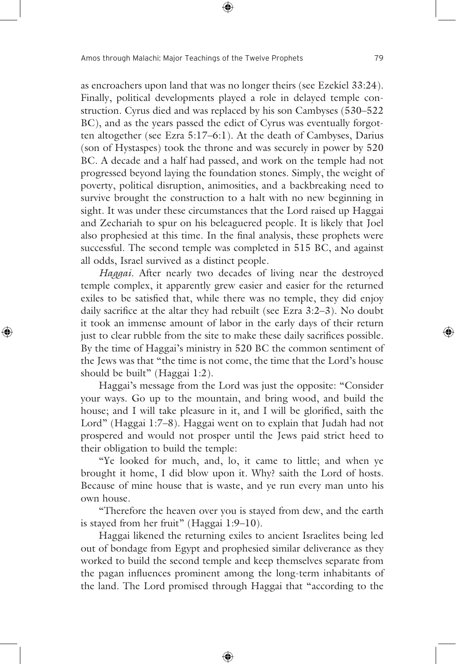as encroachers upon land that was no longer theirs (see Ezekiel 33:24). Finally, political developments played a role in delayed temple construction. Cyrus died and was replaced by his son Cambyses (530–522 BC), and as the years passed the edict of Cyrus was eventually forgotten altogether (see Ezra 5:17–6:1). At the death of Cambyses, Darius (son of Hystaspes) took the throne and was securely in power by 520 BC. A decade and a half had passed, and work on the temple had not progressed beyond laying the foundation stones. Simply, the weight of poverty, political disruption, animosities, and a backbreaking need to survive brought the construction to a halt with no new beginning in sight. It was under these circumstances that the Lord raised up Haggai and Zechariah to spur on his beleaguered people. It is likely that Joel also prophesied at this time. In the final analysis, these prophets were successful. The second temple was completed in 515 BC, and against all odds, Israel survived as a distinct people.

*Haggai*. After nearly two decades of living near the destroyed temple complex, it apparently grew easier and easier for the returned exiles to be satisfied that, while there was no temple, they did enjoy daily sacrifice at the altar they had rebuilt (see Ezra 3:2–3). No doubt it took an immense amount of labor in the early days of their return just to clear rubble from the site to make these daily sacrifices possible. By the time of Haggai's ministry in 520 BC the common sentiment of the Jews was that "the time is not come, the time that the Lord's house should be built" (Haggai 1:2).

 Haggai's message from the Lord was just the opposite: "Consider your ways. Go up to the mountain, and bring wood, and build the house; and I will take pleasure in it, and I will be glorified, saith the Lord" (Haggai 1:7–8). Haggai went on to explain that Judah had not prospered and would not prosper until the Jews paid strict heed to their obligation to build the temple:

 "Ye looked for much, and, lo, it came to little; and when ye brought it home, I did blow upon it. Why? saith the Lord of hosts. Because of mine house that is waste, and ye run every man unto his own house.

 "Therefore the heaven over you is stayed from dew, and the earth is stayed from her fruit" (Haggai 1:9–10).

 Haggai likened the returning exiles to ancient Israelites being led out of bondage from Egypt and prophesied similar deliverance as they worked to build the second temple and keep themselves separate from the pagan influences prominent among the long-term inhabitants of the land. The Lord promised through Haggai that "according to the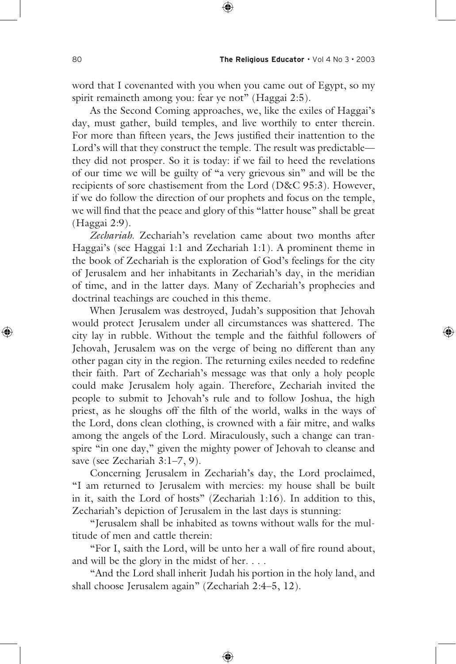word that I covenanted with you when you came out of Egypt, so my spirit remaineth among you: fear ye not" (Haggai 2:5).

 As the Second Coming approaches, we, like the exiles of Haggai's day, must gather, build temples, and live worthily to enter therein. For more than fifteen years, the Jews justified their inattention to the Lord's will that they construct the temple. The result was predictable they did not prosper. So it is today: if we fail to heed the revelations of our time we will be guilty of "a very grievous sin" and will be the recipients of sore chastisement from the Lord (D&C 95:3). However, if we do follow the direction of our prophets and focus on the temple, we will find that the peace and glory of this "latter house" shall be great (Haggai 2:9).

*Zechariah*. Zechariah's revelation came about two months after Haggai's (see Haggai 1:1 and Zechariah 1:1). A prominent theme in the book of Zechariah is the exploration of God's feelings for the city of Jerusalem and her inhabitants in Zechariah's day, in the meridian of time, and in the latter days. Many of Zechariah's prophecies and doctrinal teachings are couched in this theme.

 When Jerusalem was destroyed, Judah's supposition that Jehovah would protect Jerusalem under all circumstances was shattered. The city lay in rubble. Without the temple and the faithful followers of Jehovah, Jerusalem was on the verge of being no different than any other pagan city in the region. The returning exiles needed to redefine their faith. Part of Zechariah's message was that only a holy people could make Jerusalem holy again. Therefore, Zechariah invited the people to submit to Jehovah's rule and to follow Joshua, the high priest, as he sloughs off the filth of the world, walks in the ways of the Lord, dons clean clothing, is crowned with a fair mitre, and walks among the angels of the Lord. Miraculously, such a change can transpire "in one day," given the mighty power of Jehovah to cleanse and save (see Zechariah 3:1-7, 9).

 Concerning Jerusalem in Zechariah's day, the Lord proclaimed, "I am returned to Jerusalem with mercies: my house shall be built in it, saith the Lord of hosts" (Zechariah 1:16). In addition to this, Zechariah's depiction of Jerusalem in the last days is stunning:

 "Jerusalem shall be inhabited as towns without walls for the multitude of men and cattle therein:

 "For I, saith the Lord, will be unto her a wall of fire round about, and will be the glory in the midst of her. . . .

 "And the Lord shall inherit Judah his portion in the holy land, and shall choose Jerusalem again" (Zechariah 2:4–5, 12).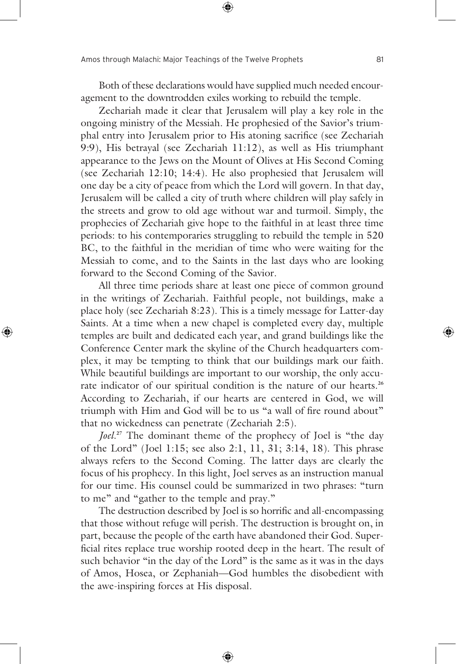Both of these declarations would have supplied much needed encouragement to the downtrodden exiles working to rebuild the temple.

 Zechariah made it clear that Jerusalem will play a key role in the ongoing ministry of the Messiah. He prophesied of the Savior's triumphal entry into Jerusalem prior to His atoning sacrifice (see Zechariah 9:9), His betrayal (see Zechariah 11:12), as well as His triumphant appearance to the Jews on the Mount of Olives at His Second Coming (see Zechariah 12:10; 14:4). He also prophesied that Jerusalem will one day be a city of peace from which the Lord will govern. In that day, Jerusalem will be called a city of truth where children will play safely in the streets and grow to old age without war and turmoil. Simply, the prophecies of Zechariah give hope to the faithful in at least three time periods: to his contemporaries struggling to rebuild the temple in 520 BC, to the faithful in the meridian of time who were waiting for the Messiah to come, and to the Saints in the last days who are looking forward to the Second Coming of the Savior.

 All three time periods share at least one piece of common ground in the writings of Zechariah. Faithful people, not buildings, make a place holy (see Zechariah 8:23). This is a timely message for Latter-day Saints. At a time when a new chapel is completed every day, multiple temples are built and dedicated each year, and grand buildings like the Conference Center mark the skyline of the Church headquarters complex, it may be tempting to think that our buildings mark our faith. While beautiful buildings are important to our worship, the only accurate indicator of our spiritual condition is the nature of our hearts.**<sup>26</sup>** According to Zechariah, if our hearts are centered in God, we will triumph with Him and God will be to us "a wall of fire round about" that no wickedness can penetrate (Zechariah 2:5).

*Joel*. **<sup>27</sup>** The dominant theme of the prophecy of Joel is "the day of the Lord" (Joel 1:15; see also 2:1, 11, 31; 3:14, 18). This phrase always refers to the Second Coming. The latter days are clearly the focus of his prophecy. In this light, Joel serves as an instruction manual for our time. His counsel could be summarized in two phrases: "turn to me" and "gather to the temple and pray."

 The destruction described by Joel is so horrific and all-encompassing that those without refuge will perish. The destruction is brought on, in part, because the people of the earth have abandoned their God. Superficial rites replace true worship rooted deep in the heart. The result of such behavior "in the day of the Lord" is the same as it was in the days of Amos, Hosea, or Zephaniah—God humbles the disobedient with the awe-inspiring forces at His disposal.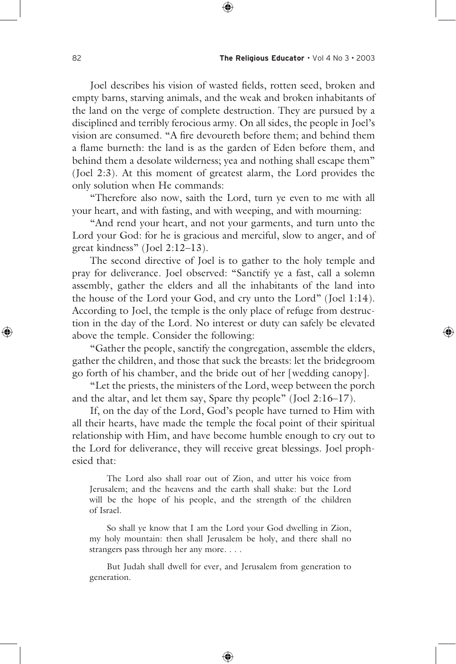Joel describes his vision of wasted fields, rotten seed, broken and empty barns, starving animals, and the weak and broken inhabitants of the land on the verge of complete destruction. They are pursued by a disciplined and terribly ferocious army. On all sides, the people in Joel's vision are consumed. "A fire devoureth before them; and behind them a flame burneth: the land is as the garden of Eden before them, and behind them a desolate wilderness; yea and nothing shall escape them" (Joel 2:3). At this moment of greatest alarm, the Lord provides the only solution when He commands:

 "Therefore also now, saith the Lord, turn ye even to me with all your heart, and with fasting, and with weeping, and with mourning:

 "And rend your heart, and not your garments, and turn unto the Lord your God: for he is gracious and merciful, slow to anger, and of great kindness" (Joel 2:12–13).

 The second directive of Joel is to gather to the holy temple and pray for deliverance. Joel observed: "Sanctify ye a fast, call a solemn assembly, gather the elders and all the inhabitants of the land into the house of the Lord your God, and cry unto the Lord" (Joel 1:14). According to Joel, the temple is the only place of refuge from destruction in the day of the Lord. No interest or duty can safely be elevated above the temple. Consider the following:

 "Gather the people, sanctify the congregation, assemble the elders, gather the children, and those that suck the breasts: let the bridegroom go forth of his chamber, and the bride out of her [wedding canopy].

 "Let the priests, the ministers of the Lord, weep between the porch and the altar, and let them say, Spare thy people" (Joel 2:16–17).

 If, on the day of the Lord, God's people have turned to Him with all their hearts, have made the temple the focal point of their spiritual relationship with Him, and have become humble enough to cry out to the Lord for deliverance, they will receive great blessings. Joel prophesied that:

 The Lord also shall roar out of Zion, and utter his voice from Jerusalem; and the heavens and the earth shall shake: but the Lord will be the hope of his people, and the strength of the children of Israel.

 So shall ye know that I am the Lord your God dwelling in Zion, my holy mountain: then shall Jerusalem be holy, and there shall no strangers pass through her any more. . . .

 But Judah shall dwell for ever, and Jerusalem from generation to generation.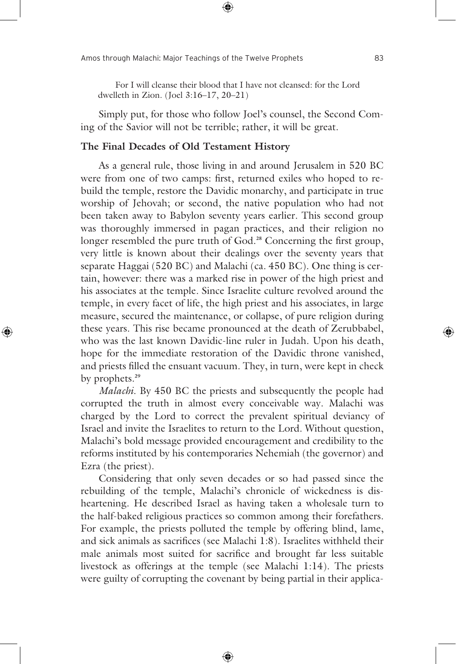For I will cleanse their blood that I have not cleansed: for the Lord dwelleth in Zion. (Joel 3:16–17, 20–21)

 Simply put, for those who follow Joel's counsel, the Second Coming of the Savior will not be terrible; rather, it will be great.

#### **The Final Decades of Old Testament History**

 As a general rule, those living in and around Jerusalem in 520 BC were from one of two camps: first, returned exiles who hoped to rebuild the temple, restore the Davidic monarchy, and participate in true worship of Jehovah; or second, the native population who had not been taken away to Babylon seventy years earlier. This second group was thoroughly immersed in pagan practices, and their religion no longer resembled the pure truth of God.<sup>28</sup> Concerning the first group, very little is known about their dealings over the seventy years that separate Haggai (520 BC) and Malachi (ca. 450 BC). One thing is certain, however: there was a marked rise in power of the high priest and his associates at the temple. Since Israelite culture revolved around the temple, in every facet of life, the high priest and his associates, in large measure, secured the maintenance, or collapse, of pure religion during these years. This rise became pronounced at the death of Zerubbabel, who was the last known Davidic-line ruler in Judah. Upon his death, hope for the immediate restoration of the Davidic throne vanished, and priests filled the ensuant vacuum. They, in turn, were kept in check by prophets.**<sup>29</sup>**

*Malachi*. By 450 BC the priests and subsequently the people had corrupted the truth in almost every conceivable way. Malachi was charged by the Lord to correct the prevalent spiritual deviancy of Israel and invite the Israelites to return to the Lord. Without question, Malachi's bold message provided encouragement and credibility to the reforms instituted by his contemporaries Nehemiah (the governor) and Ezra (the priest).

 Considering that only seven decades or so had passed since the rebuilding of the temple, Malachi's chronicle of wickedness is disheartening. He described Israel as having taken a wholesale turn to the half-baked religious practices so common among their forefathers. For example, the priests polluted the temple by offering blind, lame, and sick animals as sacrifices (see Malachi 1:8). Israelites withheld their male animals most suited for sacrifice and brought far less suitable livestock as offerings at the temple (see Malachi 1:14). The priests were guilty of corrupting the covenant by being partial in their applica-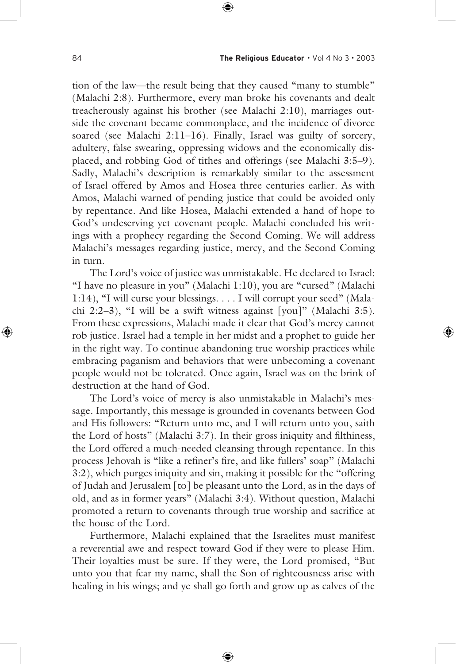tion of the law—the result being that they caused "many to stumble" (Malachi 2:8). Furthermore, every man broke his covenants and dealt treacherously against his brother (see Malachi 2:10), marriages outside the covenant became commonplace, and the incidence of divorce soared (see Malachi 2:11–16). Finally, Israel was guilty of sorcery, adultery, false swearing, oppressing widows and the economically displaced, and robbing God of tithes and offerings (see Malachi 3:5–9). Sadly, Malachi's description is remarkably similar to the assessment of Israel offered by Amos and Hosea three centuries earlier. As with Amos, Malachi warned of pending justice that could be avoided only by repentance. And like Hosea, Malachi extended a hand of hope to God's undeserving yet covenant people. Malachi concluded his writings with a prophecy regarding the Second Coming. We will address Malachi's messages regarding justice, mercy, and the Second Coming in turn.

 The Lord's voice of justice was unmistakable. He declared to Israel: "I have no pleasure in you" (Malachi 1:10), you are "cursed" (Malachi 1:14), "I will curse your blessings. . . . I will corrupt your seed" (Malachi 2:2–3), "I will be a swift witness against [you]" (Malachi 3:5). From these expressions, Malachi made it clear that God's mercy cannot rob justice. Israel had a temple in her midst and a prophet to guide her in the right way. To continue abandoning true worship practices while embracing paganism and behaviors that were unbecoming a covenant people would not be tolerated. Once again, Israel was on the brink of destruction at the hand of God.

 The Lord's voice of mercy is also unmistakable in Malachi's message. Importantly, this message is grounded in covenants between God and His followers: "Return unto me, and I will return unto you, saith the Lord of hosts" (Malachi 3:7). In their gross iniquity and filthiness, the Lord offered a much-needed cleansing through repentance. In this process Jehovah is "like a refiner's fire, and like fullers' soap" (Malachi 3:2), which purges iniquity and sin, making it possible for the "offering of Judah and Jerusalem [to] be pleasant unto the Lord, as in the days of old, and as in former years" (Malachi 3:4). Without question, Malachi promoted a return to covenants through true worship and sacrifice at the house of the Lord.

 Furthermore, Malachi explained that the Israelites must manifest a reverential awe and respect toward God if they were to please Him. Their loyalties must be sure. If they were, the Lord promised, "But unto you that fear my name, shall the Son of righteousness arise with healing in his wings; and ye shall go forth and grow up as calves of the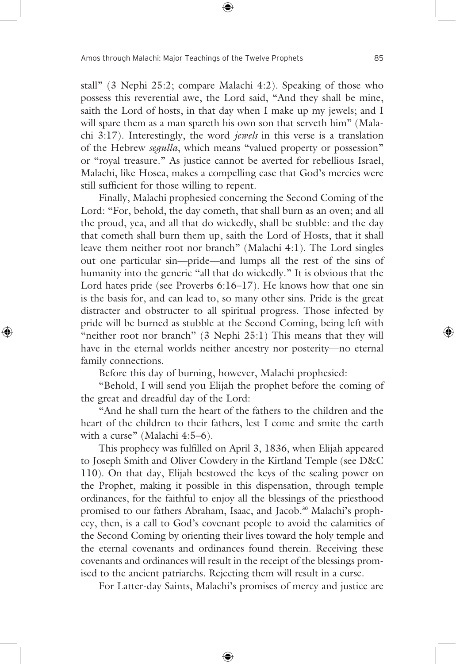stall" (3 Nephi 25:2; compare Malachi 4:2). Speaking of those who possess this reverential awe, the Lord said, "And they shall be mine, saith the Lord of hosts, in that day when I make up my jewels; and I will spare them as a man spareth his own son that serveth him" (Malachi 3:17). Interestingly, the word *jewels* in this verse is a translation of the Hebrew *segulla*, which means "valued property or possession" or "royal treasure." As justice cannot be averted for rebellious Israel, Malachi, like Hosea, makes a compelling case that God's mercies were still sufficient for those willing to repent.

 Finally, Malachi prophesied concerning the Second Coming of the Lord: "For, behold, the day cometh, that shall burn as an oven; and all the proud, yea, and all that do wickedly, shall be stubble: and the day that cometh shall burn them up, saith the Lord of Hosts, that it shall leave them neither root nor branch" (Malachi 4:1). The Lord singles out one particular sin—pride—and lumps all the rest of the sins of humanity into the generic "all that do wickedly." It is obvious that the Lord hates pride (see Proverbs 6:16–17). He knows how that one sin is the basis for, and can lead to, so many other sins. Pride is the great distracter and obstructer to all spiritual progress. Those infected by pride will be burned as stubble at the Second Coming, being left with "neither root nor branch" (3 Nephi 25:1) This means that they will have in the eternal worlds neither ancestry nor posterity—no eternal family connections.

Before this day of burning, however, Malachi prophesied:

 "Behold, I will send you Elijah the prophet before the coming of the great and dreadful day of the Lord:

 "And he shall turn the heart of the fathers to the children and the heart of the children to their fathers, lest I come and smite the earth with a curse" (Malachi 4:5-6).

 This prophecy was fulfilled on April 3, 1836, when Elijah appeared to Joseph Smith and Oliver Cowdery in the Kirtland Temple (see D&C 110). On that day, Elijah bestowed the keys of the sealing power on the Prophet, making it possible in this dispensation, through temple ordinances, for the faithful to enjoy all the blessings of the priesthood promised to our fathers Abraham, Isaac, and Jacob.**30** Malachi's prophecy, then, is a call to God's covenant people to avoid the calamities of the Second Coming by orienting their lives toward the holy temple and the eternal covenants and ordinances found therein. Receiving these covenants and ordinances will result in the receipt of the blessings promised to the ancient patriarchs. Rejecting them will result in a curse.

For Latter-day Saints, Malachi's promises of mercy and justice are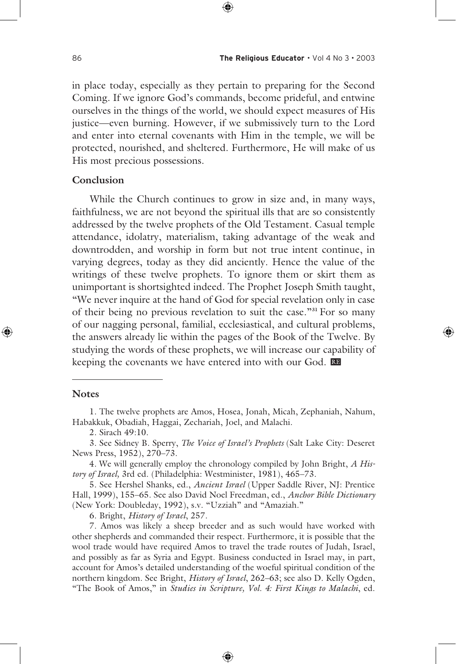in place today, especially as they pertain to preparing for the Second Coming. If we ignore God's commands, become prideful, and entwine ourselves in the things of the world, we should expect measures of His justice—even burning. However, if we submissively turn to the Lord and enter into eternal covenants with Him in the temple, we will be protected, nourished, and sheltered. Furthermore, He will make of us His most precious possessions.

### **Conclusion**

 While the Church continues to grow in size and, in many ways, faithfulness, we are not beyond the spiritual ills that are so consistently addressed by the twelve prophets of the Old Testament. Casual temple attendance, idolatry, materialism, taking advantage of the weak and downtrodden, and worship in form but not true intent continue, in varying degrees, today as they did anciently. Hence the value of the writings of these twelve prophets. To ignore them or skirt them as unimportant is shortsighted indeed. The Prophet Joseph Smith taught, "We never inquire at the hand of God for special revelation only in case of their being no previous revelation to suit the case."**31** For so many of our nagging personal, familial, ecclesiastical, and cultural problems, the answers already lie within the pages of the Book of the Twelve. By studying the words of these prophets, we will increase our capability of keeping the covenants we have entered into with our God. Re

#### **Notes**

2. Sirach 49:10.

3. See Sidney B. Sperry, *The Voice of Israel's Prophets* (Salt Lake City: Deseret News Press, 1952), 270–73.

4. We will generally employ the chronology compiled by John Bright, *A History of Israel,* 3rd ed. (Philadelphia: Westminister, 1981), 465–73.

5. See Hershel Shanks, ed., *Ancient Israel* (Upper Saddle River, NJ: Prentice Hall, 1999), 155–65. See also David Noel Freedman, ed., *Anchor Bible Dictionary* (New York: Doubleday, 1992), s.v. "Uzziah" and "Amaziah."

6. Bright, *History of Israel*, 257.

7. Amos was likely a sheep breeder and as such would have worked with other shepherds and commanded their respect. Furthermore, it is possible that the wool trade would have required Amos to travel the trade routes of Judah, Israel, and possibly as far as Syria and Egypt. Business conducted in Israel may, in part, account for Amos's detailed understanding of the woeful spiritual condition of the northern kingdom. See Bright, *History of Israel*, 262–63; see also D. Kelly Ogden, "The Book of Amos," in *Studies in Scripture, Vol. 4: First Kings to Malachi*, ed.

<sup>1.</sup> The twelve prophets are Amos, Hosea, Jonah, Micah, Zephaniah, Nahum, Habakkuk, Obadiah, Haggai, Zechariah, Joel, and Malachi.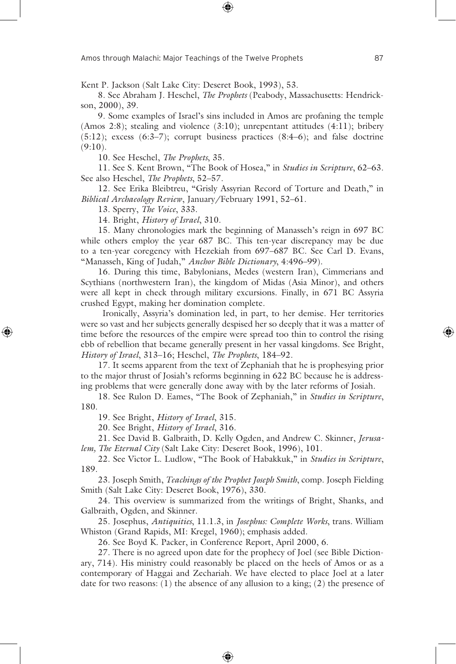Kent P. Jackson (Salt Lake City: Deseret Book, 1993), 53.

8. See Abraham J. Heschel, *The Prophets* (Peabody, Massachusetts: Hendrickson, 2000), 39.

9. Some examples of Israel's sins included in Amos are profaning the temple (Amos 2:8); stealing and violence  $(3:10)$ ; unrepentant attitudes  $(4:11)$ ; bribery  $(5:12)$ ; excess  $(6:3-7)$ ; corrupt business practices  $(8:4-6)$ ; and false doctrine  $(9:10)$ .

10. See Heschel, *The Prophets*, 35.

11. See S. Kent Brown, "The Book of Hosea," in *Studies in Scripture*, 62–63. See also Heschel, *The Prophets*, 52–57.

12. See Erika Bleibtreu, "Grisly Assyrian Record of Torture and Death," in *Biblical Archaeology Review*, January/February 1991, 52–61.

13. Sperry, *The Voice*, 333.

14. Bright, *History of Israel*, 310.

15. Many chronologies mark the beginning of Manasseh's reign in 697 BC while others employ the year 687 BC. This ten-year discrepancy may be due to a ten-year coregency with Hezekiah from 697–687 BC. See Carl D. Evans, "Manasseh, King of Judah," *Anchor Bible Dictionary*, 4:496–99).

16. During this time, Babylonians, Medes (western Iran), Cimmerians and Scythians (northwestern Iran), the kingdom of Midas (Asia Minor), and others were all kept in check through military excursions. Finally, in 671 BC Assyria crushed Egypt, making her domination complete.

 Ironically, Assyria's domination led, in part, to her demise. Her territories were so vast and her subjects generally despised her so deeply that it was a matter of time before the resources of the empire were spread too thin to control the rising ebb of rebellion that became generally present in her vassal kingdoms. See Bright, *History of Israel*, 313–16; Heschel, *The Prophets*, 184–92.

17. It seems apparent from the text of Zephaniah that he is prophesying prior to the major thrust of Josiah's reforms beginning in 622 BC because he is addressing problems that were generally done away with by the later reforms of Josiah.

18. See Rulon D. Eames, "The Book of Zephaniah," in *Studies in Scripture*, 180.

19. See Bright, *History of Israel*, 315.

20. See Bright, *History of Israel*, 316.

21. See David B. Galbraith, D. Kelly Ogden, and Andrew C. Skinner, *Jerusalem, The Eternal City* (Salt Lake City: Deseret Book, 1996), 101.

22. See Victor L. Ludlow, "The Book of Habakkuk," in *Studies in Scripture*, 189.

23. Joseph Smith, *Teachings of the Prophet Joseph Smith*, comp. Joseph Fielding Smith (Salt Lake City: Deseret Book, 1976), 330.

24. This overview is summarized from the writings of Bright, Shanks, and Galbraith, Ogden, and Skinner.

25. Josephus, *Antiquities*, 11.1.3, in *Josephus: Complete Works*, trans. William Whiston (Grand Rapids, MI: Kregel, 1960); emphasis added.

26. See Boyd K. Packer, in Conference Report, April 2000, 6.

27. There is no agreed upon date for the prophecy of Joel (see Bible Dictionary, 714). His ministry could reasonably be placed on the heels of Amos or as a contemporary of Haggai and Zechariah. We have elected to place Joel at a later date for two reasons: (1) the absence of any allusion to a king; (2) the presence of